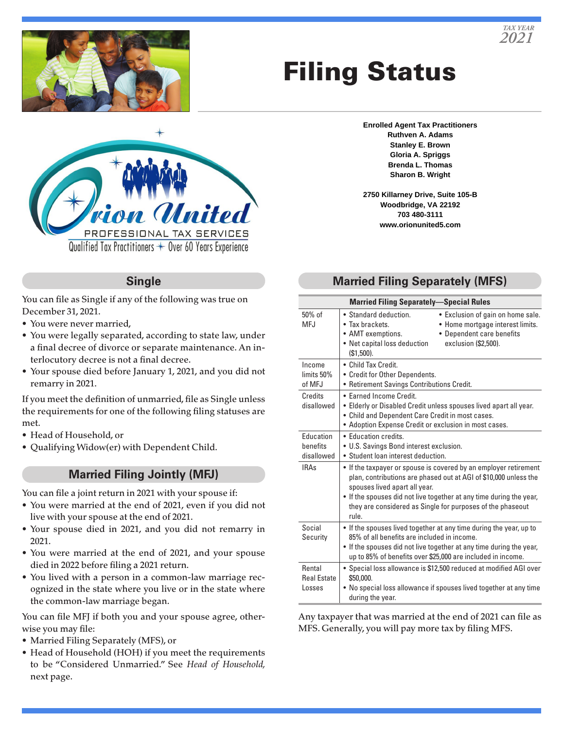

# Filing Status



#### **Single**

You can file as Single if any of the following was true on December 31, 2021.

- You were never married,
- You were legally separated, according to state law, under a final decree of divorce or separate maintenance. An interlocutory decree is not a final decree.
- Your spouse died before January 1, 2021, and you did not remarry in 2021.

If you meet the definition of unmarried, file as Single unless the requirements for one of the following filing statuses are met.

- Head of Household, or
- Qualifying Widow(er) with Dependent Child.

#### **Married Filing Jointly (MFJ)**

You can file a joint return in 2021 with your spouse if:

- You were married at the end of 2021, even if you did not live with your spouse at the end of 2021.
- Your spouse died in 2021, and you did not remarry in 2021.
- You were married at the end of 2021, and your spouse died in 2022 before filing a 2021 return.
- You lived with a person in a common-law marriage recognized in the state where you live or in the state where the common-law marriage began.

You can file MFJ if both you and your spouse agree, otherwise you may file:

- Married Filing Separately (MFS), or
- Head of Household (HOH) if you meet the requirements to be "Considered Unmarried." See *Head of Household,*  next page.

**Enrolled Agent Tax Practitioners Ruthven A. Adams Stanley E. Brown Gloria A. Spriggs Brenda L. Thomas Sharon B. Wright**

**2750 Killarney Drive, Suite 105-B Woodbridge, VA 22192 703 480-3111 www.orionunited5.com**

## **Married Filing Separately (MFS)**

| <b>Married Filing Separately-Special Rules</b> |                                                                                                                                                                                                                                                                                                                     |
|------------------------------------------------|---------------------------------------------------------------------------------------------------------------------------------------------------------------------------------------------------------------------------------------------------------------------------------------------------------------------|
| $50\%$ of<br>MFJ                               | • Standard deduction.<br>• Exclusion of gain on home sale.<br>• Tax brackets.<br>• Home mortgage interest limits.<br>• AMT exemptions.<br>• Dependent care benefits<br>• Net capital loss deduction<br>exclusion (\$2,500).<br>$(S1.500)$ .                                                                         |
| Income<br>limits 50%<br>of MFJ                 | • Child Tax Credit.<br>• Credit for Other Dependents.<br>• Retirement Savings Contributions Credit.                                                                                                                                                                                                                 |
| Credits<br>disallowed                          | • Farned Income Credit.<br>. Elderly or Disabled Credit unless spouses lived apart all year.<br>• Child and Dependent Care Credit in most cases.<br>• Adoption Expense Credit or exclusion in most cases.                                                                                                           |
| <b>Education</b><br>henefits<br>disallowed     | · Education credits.<br>• U.S. Savings Bond interest exclusion.<br>• Student loan interest deduction.                                                                                                                                                                                                               |
| <b>IRAs</b>                                    | . If the taxpayer or spouse is covered by an employer retirement<br>plan, contributions are phased out at AGI of \$10,000 unless the<br>spouses lived apart all year.<br>• If the spouses did not live together at any time during the year,<br>they are considered as Single for purposes of the phaseout<br>rule. |
| Social<br>Security                             | • If the spouses lived together at any time during the year, up to<br>85% of all benefits are included in income.<br>• If the spouses did not live together at any time during the year,<br>up to 85% of benefits over \$25,000 are included in income.                                                             |
| Rental<br><b>Real Estate</b><br>Losses         | • Special loss allowance is \$12,500 reduced at modified AGI over<br>\$50,000.<br>• No special loss allowance if spouses lived together at any time<br>during the year.                                                                                                                                             |

Any taxpayer that was married at the end of 2021 can file as MFS. Generally, you will pay more tax by filing MFS.